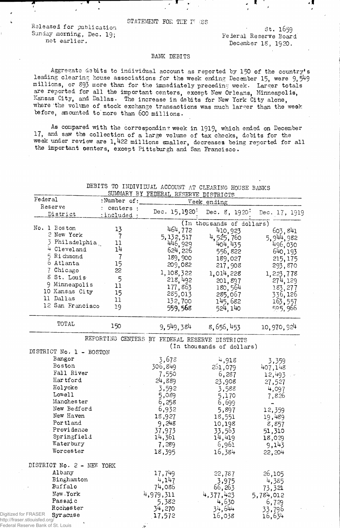STATEMENT. FOR THE FT GSS

Released for publication Sunday morning, Dec. 19; not earlier,

V

st. 1659 Federal Reserve Board December 18, 1920.

 $\mathbf{R}$ 

## BANK DEBITS

Aggregate debits to individual account as reported by 150 of the country's leading clearing house associations for the week ending December 15, were 9,549 millions, or 893 more than for the immediately preceding week. Larger totals are reported for all the important centers, except New Orleans, Minneapolis, Kansas City, and Dallas- The increase in debits for New York City alone, where the volume of stock exchange transactions was much larger than the week before, amounted to'more than 600 millions.

As compared with the corresponding week in 1919, which ended on December 17, and saw the collection of a large volume of tax checks, debits for the week under review are 1,422 millions smaller, decreases being reported for all the important centers, except Pittsburgh and San Francisco.

|  |  |  |  | DEBITS TO INDIVIDUAL ACCOUNT AT CLEARING HOUSE BANKS |  |
|--|--|--|--|------------------------------------------------------|--|
|  |  |  |  | SUMMARY BY FEDERAL RESERVE DISTRICTS                 |  |

| Federal                           | :Number of:    | Week ending                                    |                           |               |
|-----------------------------------|----------------|------------------------------------------------|---------------------------|---------------|
| Reserve                           | : centers :    |                                                |                           |               |
| District                          | $:$ included : | Dec. $15,1920$                                 | Dec. $8, 1920$            | Dec. 17, 1919 |
|                                   |                |                                                | (In thousands of dollars) |               |
| No. 1 Boston                      | 13             | 464,772                                        | 410,923                   | 603,841       |
| 2 New York                        | 7              | 5,132,517                                      | 4,525,760                 | 5,944,982     |
| 3 Philadelphia                    | 11             | 446,929                                        | 404, 435                  | 496,030       |
| Cleveland                         | 14             | 624, 226                                       | 556,822                   | 640, 193      |
| 5 Richmond                        | 7              | 189,900                                        | 189,027                   | 215, 175      |
| 6 Atlanta                         | 15             | 209,082                                        | 217,908                   | 293,870       |
| 7 Chicago                         | 22             | 1,108,322                                      | 1,014,228                 |               |
| 8 St. Louis                       | 5              | 218,492                                        |                           | 1,223,778     |
| 9 Minneapolis                     | 11             |                                                | 201,897                   | 274,129       |
| 10 Kansas City                    | 15             | 177,863                                        | 180, 564                  | 183, 277      |
| ll Dallas                         | 11             | 285,013                                        | 285,067                   | 336,126       |
| 12 San Francisco                  | 19             | 132,700                                        | 145,682                   | 163,557       |
|                                   |                | 559,568                                        | 524, 140                  | 595,966       |
| TOTAL                             | 150            | 9,549,384                                      | 8, 656, 453               | 10,970,924    |
|                                   |                |                                                |                           |               |
|                                   |                | REPORTING CENTERS BY FEDERAL RESERVE DISTRICTS |                           |               |
| DISTRICT No. 1 - BOSTON           |                |                                                | (In thousands of dollars) |               |
| Bangor                            |                | 3,678                                          | 4,918                     | 3,359         |
| Boston                            |                | 306,849                                        | 251,079                   | 407,148       |
| Fall River                        |                | 7,550                                          | 6,287                     | 12,493        |
| Hartford                          |                | 24,889                                         | 23,908                    |               |
| Holyoke                           |                | 3,592                                          |                           | 27,527        |
| Lowell                            |                |                                                | 3,588                     | 4,097         |
| Manchester                        |                | 5,089                                          | 5,170                     | 7,826         |
| New Bedford                       |                | 6,258                                          | 6,699                     |               |
| New Haven                         |                | 6,932                                          | 5,897                     | 12,359        |
|                                   |                | 18,927                                         | 18,551                    | 19,489        |
| Portland                          |                | 9,248                                          | 10,198                    | 8,857         |
| Providence                        |                | 37,973                                         | 33,563                    | 51,310        |
| Springfield                       |                | 14,361                                         | 14,419                    | 18,029        |
| Waterbury                         |                | 7,289                                          | 6,961                     | 9,143         |
| Worcester                         |                | 18,395                                         | 16,384                    | 22,204        |
| DISTRICT No. 2 - NEW YORK         |                |                                                |                           |               |
| Albany                            |                | 17,749                                         | 22,787                    | 26,105        |
| Binghamton                        |                | 4,147                                          | 3,975                     | 4,385         |
| Buffalo                           |                | 74,086                                         | 66,263                    | 73,321        |
| New York                          |                | 4,979,311                                      | 4,377,423                 | 5,784,012     |
| Passaic                           |                | 5,382                                          |                           |               |
| Rochester                         |                | 34,270                                         | 4,630<br>34,644           | 6,729         |
| Digitized for FRASER<br>Syracuse  |                | 17,572                                         |                           | 33,796        |
| http://fraser.stlouisfed.org/     |                |                                                | 16,038                    | 16,634        |
| Federal Reserve Bank of St. Louis |                |                                                |                           |               |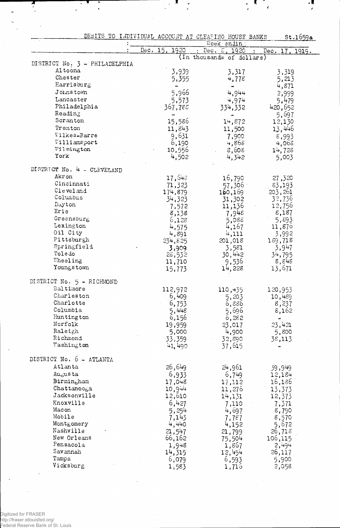| DEBITS TO INDIVIDUAL ACCOUNT AT CLEARING HOUSE BANKS |                   |                           | st.1659a                       |
|------------------------------------------------------|-------------------|---------------------------|--------------------------------|
|                                                      |                   | Week ending               |                                |
|                                                      | Dec. 15.<br>-1920 | : Dec. $5, 1920$          | Dec. 17, 1919.<br>$\mathbf{r}$ |
|                                                      |                   | (In thousands of dollars) |                                |
| DISTRICT No. 3 - PHILADELPHIA                        |                   |                           |                                |
| Altoona                                              | 3,939             | 3,317                     | 3,319                          |
| Chester                                              | 5,355             | 4,778                     | 5,213                          |
| Harrisburg                                           |                   |                           | 4,871                          |
| Joinstown                                            | 5,966             | 4,944                     | 2,999                          |
| Lancaster                                            | 5,573             | 4,974                     | 5,479                          |
| Philadelphia                                         | 367,788           | 334,332                   | 420,652                        |
| Reading                                              |                   |                           | 5,697                          |
| Scranton                                             | 15,586            | 14,872                    | 12,130                         |
| Trenton                                              | 11,843            | 11,500                    | 13,446                         |
| Wilkes-Barre                                         | 9,631             | 7,900                     | 8,993                          |
| Williamsport                                         | 6,190             | 4,868                     | 4,068                          |
| Wilmington                                           | 10,556            | 8,608                     | 14,728                         |
| York                                                 | 4,502             | 4,342                     | 5,003                          |
| DISTRICT No. 4 - CLEVELAND                           |                   |                           |                                |
| Akr on                                               | 17,648            | 16,790                    | 27,320                         |
| Cincinnati                                           | 71,323            | 57,306 $\cdot$            | 83,193                         |
| Cleveland                                            | 174,879           | 160,169                   | 203,261                        |
| Columbus                                             | 34,323            | 31,302                    | 32,736                         |
| Dayton                                               | 7,572             | 11,136                    | 12,756                         |
| Erie                                                 | 8,138             | 7,948                     | 8,187                          |
| Greensburg                                           | 6,128             | 5,088                     | 5,893                          |
| Lexington                                            | 4,575             | 4,167                     | 11,876                         |
| Oil City                                             | 4,891             | 4,111                     | 3,992                          |
| Pittsburgh                                           | 234,825           | 201,018                   | 189,718                        |
| Springfield                                          | 3,909             | 3,581                     | 3,947                          |
| Toledo                                               | 28,532            | 30,442                    | 34,795                         |
| Wheeling                                             | 11,710            | 9,536                     | 8,848                          |
| Youngstown                                           | 15,773            | 14,228                    | 13,671                         |
| DISTRICT No. 5 - RICHMOND                            |                   |                           |                                |
| Baltimore                                            | 112,972           | 110,435                   | 120,953                        |
| Charleston                                           | 6,409             | 5,203                     | 10,489                         |
| Charlotte                                            | 6,753             | 6,886                     | 8,237                          |
| Columbia                                             | 5,448             | 5,696                     | 8,162                          |
| Huntington                                           | 6,156             | 6,282                     |                                |
| Norfolk                                              | 19,959            | 23,017                    | 23,421                         |
| Raleigh                                              | 5,000             | 4,900                     | 5,800                          |
| Richmond                                             | 33,359            | 32,890                    | 38,113                         |
| Washington                                           | 41,490            | 37,615                    |                                |
| DISTRICT No. 6 -                                     |                   |                           |                                |
| ATLANTA                                              |                   |                           |                                |
| Atlanta                                              | 26,649            | 24,961                    | 39,949                         |
| Au <sub>s</sub> usta                                 | 6,933             | 6,749                     | 12,184                         |
| Birmingham                                           | 17,048            | 17,112                    | 16,186                         |
| Chattanooga                                          | 10,944            | 11,276                    | 13,373                         |
| Jacksonville                                         | 12,610            | 14,131                    | 12,373                         |
| Knoxville                                            | 6,427             | 7,110                     | 7,371                          |
| Macon                                                | 5,254             | 4,697                     | 8,790                          |
| Mobile                                               | 7,143             | 7,787                     | 8,570                          |
| Montgomery                                           | 4,440             | 4,152                     | 5,672                          |
| Nashville                                            | 21,547            | 21,799                    | 26,718                         |
| New Orleans                                          | 66,162            | 75,504                    | 106,115                        |
| Pensacola                                            | 1,948             | 1,867                     | 2,494                          |
| Savannah                                             | 14,315            | 12,454                    | 26,117                         |
| Tampa<br>Vicksburg                                   | 6,079             | 6,593                     | 5,900                          |
|                                                      | 1,583             | 1,716                     | 2,058                          |

 $\mathbf{z}$ 

j.

l,

 $\frac{1}{2}$ 

 $\mathbf{K}$ 

 $\epsilon$ 

 $\cdot$ 

 $\lambda$ 

 $\frac{1}{\sqrt{2}}$ 

 $\frac{1}{2}$ 

 $\overline{a}$ 

 $\ddot{\phantom{1}}$ 

 $\ddot{\phantom{1}}$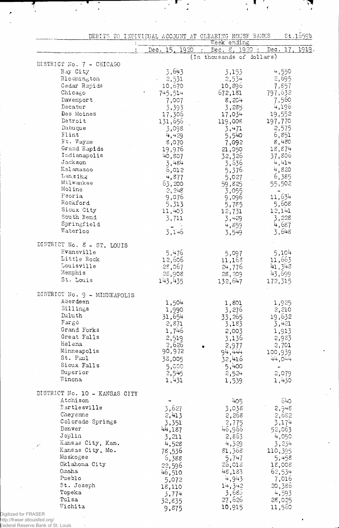|             |                                          |                 | DEBITS TO INDIVIDUAL ACCOUNT AT CLEARING HOUSE BANKS<br>Week ending | 5t.1659b        |
|-------------|------------------------------------------|-----------------|---------------------------------------------------------------------|-----------------|
|             |                                          | Dec. 15, 1920   | Dec. 8, 1920 :                                                      | Dec. 17, 1919   |
|             |                                          |                 | (In thousands of dollars)                                           |                 |
|             | DISTRICT No. 7 - CHICAGO                 |                 |                                                                     |                 |
|             | Bay City                                 | 3,643           | 3,153                                                               | 4,550           |
|             | Bloomington                              | 2,531           | $2,53+$                                                             | 2,695           |
|             | Cedar Rapids                             | 10,670          | 10,896                                                              | 7,857           |
|             | Chicago<br>Davenport                     | 745,514         | 672,181                                                             | 797,632         |
|             | Decatur                                  | 7,007           | 8,204<br>3,285                                                      | 7,560<br>4,196  |
|             | Des Moines                               | 3,393<br>17,306 | 17,034                                                              | 19,552          |
|             | Detroit                                  | 131,656         | 119,008                                                             | 197,770         |
|             | Dubuque                                  | 3,098           | 3,471                                                               | 2,575           |
|             | Flint                                    | 4,429           | 5,540                                                               | 6,851           |
|             | Ft. Wayne                                | 8,070           | 7,092                                                               | 8,480           |
|             | Grand Rapids                             | 19,976          | 21,050                                                              | 18,874          |
|             | Indianapolis                             | 40,807          | 32,326                                                              | 37,806          |
|             | Jackson                                  | 3,484           | 3,636                                                               | 4,414           |
|             | Kalamazoo                                | 6,012           | 5,376.                                                              | 4,820           |
|             | Lansing<br>Milwankee                     | 4,877           | 5,027                                                               | 6,385           |
|             | Moline                                   | 63,200          | 59,825                                                              | 55,502          |
|             | Peoria                                   | 2, 248<br>9,076 | 3,055<br>9,096                                                      | 11,634          |
|             | Rockford                                 | 5,313           | 5,785                                                               | 5,608           |
|             | Sioux City                               | 11,403          | 12,731                                                              | 12,141          |
|             | South Bend                               | 3,711           | 3,429                                                               | 3,228           |
|             | Springfield                              |                 | 4,859                                                               | 4,687           |
|             | Waterloo                                 | 3,146           | 3,549                                                               | 3,648           |
|             | DISTRICT No. 8 - ST. LOUIS               |                 |                                                                     |                 |
|             | Evansville                               | 5,476           | 5,097                                                               | 5,104           |
|             | Little Rock                              | 12,606          | 11,163                                                              | 11,663          |
|             | Louisville                               | 28,067          | 24,776                                                              | 41,348          |
|             | Memphis                                  | 28,908          | 28,209                                                              | 43,699          |
|             | St. Louis                                | 143,435         | 132,647                                                             | 172,315         |
|             |                                          |                 |                                                                     |                 |
|             | DISTRICT No. 9 - MINNEAPOLIS<br>Aberdeen | 1,504           |                                                                     | 1,925           |
|             | Eillings                                 | 1,990           | 1,801<br>3,276                                                      | 2,210           |
|             | Duluth                                   | 31,654          | 33,265                                                              | 19,632          |
|             | Fargo                                    | 2,871           | 3,183                                                               | 3,421           |
|             | Grand Forks                              | 1,746           | 2,003                                                               | 1,913           |
|             | Great Falls                              | 2,519           | 3,136                                                               | 2,983           |
|             | Helena                                   | 2,626           | 2,977                                                               | 2,701           |
|             | Minneapolis                              | 90,972          | 94,444                                                              | 100,939         |
|             | St. Paul                                 | 38,005          | 32,416                                                              | 44,044          |
|             | Sioux Falls                              | 5,000           | 5,400                                                               |                 |
|             | Superior                                 | 2,545           | 2,524                                                               | 2,079           |
|             | Winona                                   | 1,431           | 1,539                                                               | 1,430           |
|             | DISTRICT No. 10 - KANSAS CITY            |                 |                                                                     |                 |
|             | Atchison                                 |                 | 405                                                                 | 640             |
|             | Partlesville                             | 3,627           | 3,038                                                               | 2,948           |
|             | Cheyenne                                 | 2,413           | 2,268                                                               | 2,682           |
|             | Colorado Springs                         | 3,351           | 2,775                                                               | 3,174           |
|             | Denver                                   | 44,187          | 46,966                                                              | 52,063          |
|             | Joplin                                   | 3,211           | 2,863                                                               | 4,050           |
|             | Kansas City, Kan.                        | 4,528           | 4,329                                                               | 3,234           |
|             | Kansas City, Mo.                         | 78,536          | 81,368                                                              | 110,395         |
|             | Muskogee                                 | 6,388           | 5,747                                                               | 5;458           |
|             | Oklahoma City<br>Omaha                   | 22,596          | 26,018<br>48,183                                                    | 18,008          |
|             | Pueblo                                   | 46,510          | 4,943                                                               | 62,534<br>7,016 |
|             | St. Joseph                               | 5,072           | 14,342                                                              | 20,386          |
|             | Topeka                                   | 18,110<br>3,774 | 3,685                                                               | 4,593           |
|             | Tulsa                                    | 32,835          | 27,626                                                              | 28,025          |
|             | Wichita                                  | 9,875           | 10,915                                                              | 11,560          |
| <b>ASER</b> |                                          |                 |                                                                     |                 |

Ķ

 $\mathbf{r}$ 

 $\bar{\gamma}$ 

 $\overline{\mathcal{L}}$ 

 $\lambda$ 

Digitized for FRASER http://fraser.stlouisfed.org/ Federal Reserve Bank of St. Louis

रू<br>प

 $\ddot{\phantom{1}}$ 

 $\mathbf{r}$